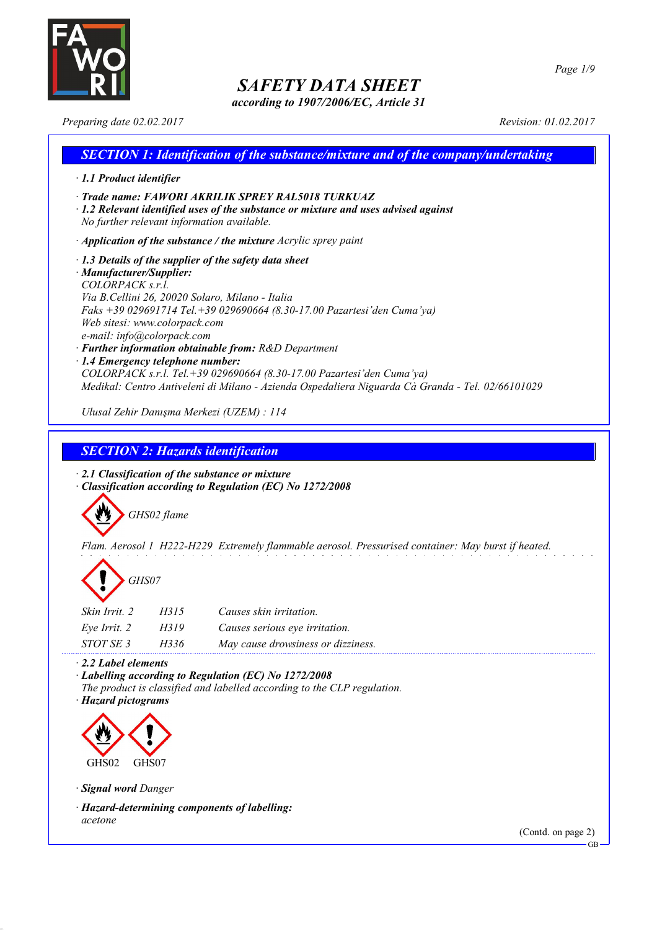

*according to 1907/2006/EC, Article 31*

*Page 1/9*

*Preparing date 02.02.2017 Revision: 01.02.2017*

## *SECTION 1: Identification of the substance/mixture and of the company/undertaking · 1.1 Product identifier · Trade name: FAWORI AKRILIK SPREY RAL5018 TURKUAZ · 1.2 Relevant identified uses of the substance or mixture and uses advised against No further relevant information available. · Application of the substance / the mixture Acrylic sprey paint · 1.3 Details of the supplier of the safety data sheet · Manufacturer/Supplier: COLORPACK s.r.l. Via B.Cellini 26, 20020 Solaro, Milano - Italia Faks +39 029691714 Tel.+39 029690664 (8.30-17.00 Pazartesi'den Cuma'ya) Web sitesi: www.colorpack.com e-mail: info@colorpack.com · Further information obtainable from: R&D Department · 1.4 Emergency telephone number: COLORPACK s.r.l. Tel.+39 029690664 (8.30-17.00 Pazartesi'den Cuma'ya) Medikal: Centro Antiveleni di Milano - Azienda Ospedaliera Niguarda Cà Granda - Tel. 02/66101029 Ulusal Zehir Danışma Merkezi (UZEM) : 114*

## *SECTION 2: Hazards identification*

*· 2.1 Classification of the substance or mixture · Classification according to Regulation (EC) No 1272/2008*



*Flam. Aerosol 1 H222-H229 Extremely flammable aerosol. Pressurised container: May burst if heated.*



| <i>Skin Irrit.</i> 2 | H315 | Causes skin irritation.            |
|----------------------|------|------------------------------------|
| Eve Irrit. 2         | H319 | Causes serious eye irritation.     |
| STOT SE 3            | H336 | May cause drowsiness or dizziness. |

*· 2.2 Label elements*

*· Labelling according to Regulation (EC) No 1272/2008 The product is classified and labelled according to the CLP regulation.*

*· Hazard pictograms*



*· Signal word Danger*

*· Hazard-determining components of labelling: acetone*

(Contd. on page 2)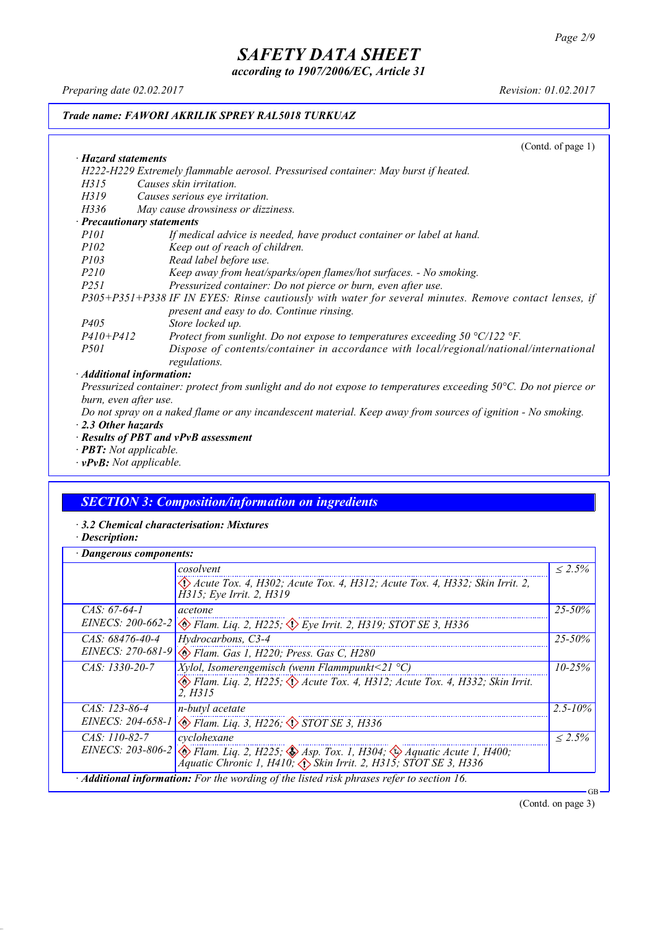*according to 1907/2006/EC, Article 31*

*Preparing date 02.02.2017 Revision: 01.02.2017*

### *Trade name: FAWORI AKRILIK SPREY RAL5018 TURKUAZ*

(Contd. of page 1) *· Hazard statements H222-H229 Extremely flammable aerosol. Pressurised container: May burst if heated. H315 Causes skin irritation. H319 Causes serious eye irritation. H336 May cause drowsiness or dizziness. · Precautionary statements P101 If medical advice is needed, have product container or label at hand. P102 Keep out of reach of children. P103 Read label before use. P210 Keep away from heat/sparks/open flames/hot surfaces. - No smoking. P251 Pressurized container: Do not pierce or burn, even after use. P305+P351+P338 IF IN EYES: Rinse cautiously with water for several minutes. Remove contact lenses, if present and easy to do. Continue rinsing. P405 Store locked up.*<br>*P410+P412 Protect from sure P410+P412 Protect from sunlight. Do not expose to temperatures exceeding 50 °C/122 °F. P501 Dispose of contents/container in accordance with local/regional/national/international regulations. · Additional information:*

Pressurized container: protect from sunlight and do not expose to temperatures exceeding 50°C. Do not pierce or *burn, even after use.*

Do not spray on a naked flame or any incandescent material. Keep away from sources of ignition - No smoking. *· 2.3 Other hazards*

- *· Results of PBT and vPvB assessment*
- *· PBT: Not applicable.*
- *· vPvB: Not applicable.*

## *SECTION 3: Composition/information on ingredients*

- *· 3.2 Chemical characterisation: Mixtures*
- *· Description:*

| Dangerous components: |                                                                                                                                                                                                  |              |
|-----------------------|--------------------------------------------------------------------------------------------------------------------------------------------------------------------------------------------------|--------------|
|                       | cosolvent                                                                                                                                                                                        | $< 2.5\%$    |
|                       | Acute Tox. 4, H302; Acute Tox. 4, H312; Acute Tox. 4, H332; Skin Irrit. 2,<br>H315; Eye Irrit. 2, H319                                                                                           |              |
| CAS: $67-64-1$        | acetone                                                                                                                                                                                          | $25 - 50\%$  |
|                       | EINECS: 200-662-2 $\otimes$ Flam. Liq. 2, H225; $\otimes$ Eye Irrit. 2, H319; STOT SE 3, H336                                                                                                    |              |
| CAS: 68476-40-4       | Hydrocarbons, C3-4                                                                                                                                                                               | $25 - 50\%$  |
|                       | EINECS: 270-681-9 & Flam. Gas 1, H220; Press. Gas C, H280                                                                                                                                        |              |
| $CAS: 1330-20-7$      | <i>Xylol, Isomerengemisch (wenn Flammpunkt</i> <21 $^{\circ}$ C)                                                                                                                                 | $10 - 25\%$  |
|                       | $\otimes$ Flam. Lig. 2, H225; $\otimes$ Acute Tox. 4, H312; Acute Tox. 4, H332; Skin Irrit.<br>2. H315                                                                                           |              |
| $CAS: 123-86-4$       | n-butyl acetate                                                                                                                                                                                  | $2.5 - 10\%$ |
|                       | EINECS: 204-658-1 & Flam. Liq. 3, H226; STOT SE 3, H336                                                                                                                                          |              |
| CAS: 110-82-7         | cyclohexane                                                                                                                                                                                      | $< 2.5\%$    |
|                       | EINECS: 203-806-2 $\otimes$ Flam. Liq. 2, H225; $\otimes$ Asp. Tox. 1, H304; $\otimes$ Aquatic Acute 1, H400;<br>Aquatic Chronic 1, H410, $\langle \rangle$ Skin Irrit. 2, H315; STOT SE 3, H336 |              |
|                       | · Additional information: For the wording of the listed risk phrases refer to section 16.                                                                                                        | GB           |

(Contd. on page 3)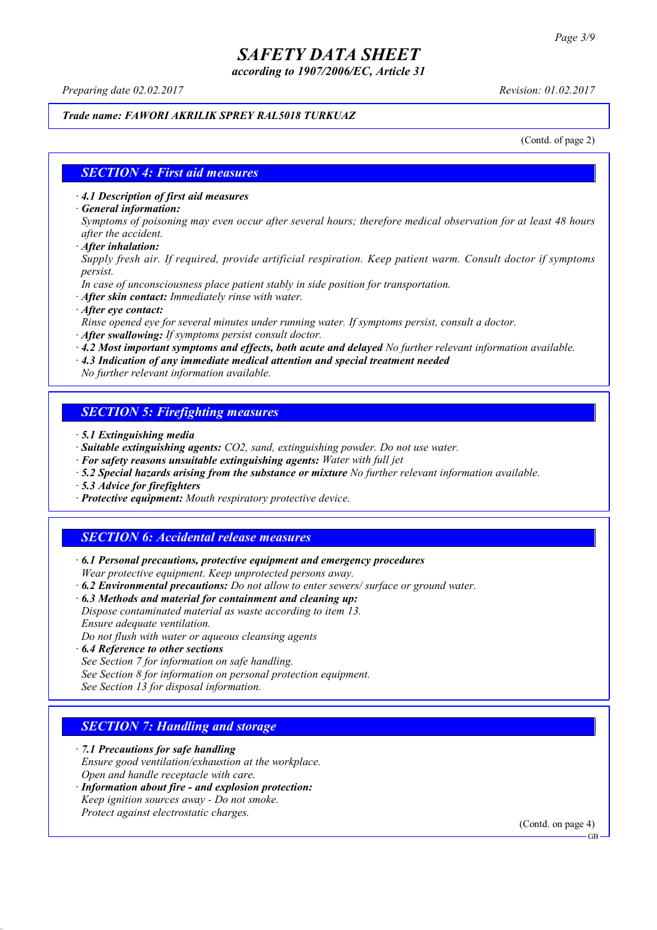*according to 1907/2006/EC, Article 31*

*Preparing date 02.02.2017 Revision: 01.02.2017*

### *Trade name: FAWORI AKRILIK SPREY RAL5018 TURKUAZ*

(Contd. of page 2)

#### *SECTION 4: First aid measures*

*· 4.1 Description of first aid measures*

*· General information:*

Symptoms of poisoning may even occur after several hours; therefore medical observation for at least 48 hours *after the accident.*

*· After inhalation:*

*Supply fresh air. If required, provide artificial respiration. Keep patient warm. Consult doctor if symptoms persist.*

*In case of unconsciousness place patient stably in side position for transportation.*

- *· After skin contact: Immediately rinse with water.*
- *· After eye contact:*

*Rinse opened eye for several minutes under running water. If symptoms persist, consult a doctor.*

*· After swallowing: If symptoms persist consult doctor.*

*· 4.2 Most important symptoms and effects, both acute and delayed No further relevant information available.*

*· 4.3 Indication of any immediate medical attention and special treatment needed*

*No further relevant information available.*

### *SECTION 5: Firefighting measures*

- *· 5.1 Extinguishing media*
- *· Suitable extinguishing agents: CO2, sand, extinguishing powder. Do not use water.*
- *· For safety reasons unsuitable extinguishing agents: Water with full jet*
- *· 5.2 Special hazards arising from the substance or mixture No further relevant information available.*
- *· 5.3 Advice for firefighters*
- *· Protective equipment: Mouth respiratory protective device.*

### *SECTION 6: Accidental release measures*

*· 6.1 Personal precautions, protective equipment and emergency procedures Wear protective equipment. Keep unprotected persons away.*

*· 6.2 Environmental precautions: Do not allow to enter sewers/ surface or ground water.*

*· 6.3 Methods and material for containment and cleaning up:*

*Dispose contaminated material as waste according to item 13. Ensure adequate ventilation.*

*Do not flush with water or aqueous cleansing agents*

- *· 6.4 Reference to other sections*
- *See Section 7 for information on safe handling.*
- *See Section 8 for information on personal protection equipment.*

*See Section 13 for disposal information.*

### *SECTION 7: Handling and storage*

*· 7.1 Precautions for safe handling*

*Ensure good ventilation/exhaustion at the workplace.*

- *Open and handle receptacle with care.*
- *· Information about fire - and explosion protection: Keep ignition sources away - Do not smoke.*
- *Protect against electrostatic charges.*

(Contd. on page 4)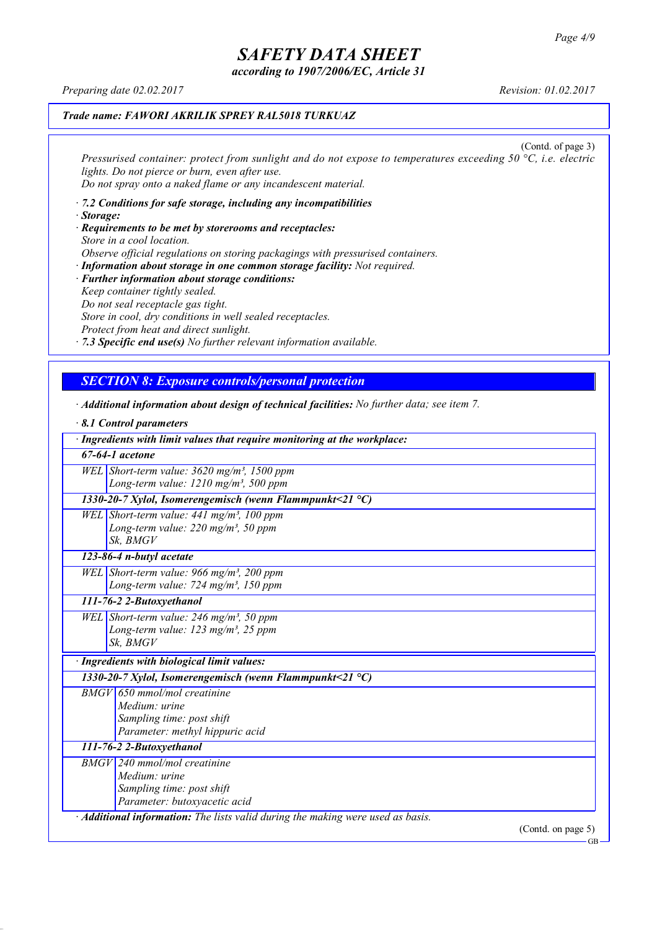*according to 1907/2006/EC, Article 31*

*Preparing date 02.02.2017 Revision: 01.02.2017*

## *Trade name: FAWORI AKRILIK SPREY RAL5018 TURKUAZ*

(Contd. of page 3) *Pressurised container: protect from sunlight and do not expose to temperatures exceeding 50 °C, i.e. electric lights. Do not pierce or burn, even after use. Do not spray onto a naked flame or any incandescent material.*

- *· 7.2 Conditions for safe storage, including any incompatibilities · Storage:*
- *· Requirements to be met by storerooms and receptacles: Store in a cool location. Observe official regulations on storing packagings with pressurised containers.*
- *· Information about storage in one common storage facility: Not required. · Further information about storage conditions: Keep container tightly sealed. Do not seal receptacle gas tight. Store in cool, dry conditions in well sealed receptacles. Protect from heat and direct sunlight.*

*· 7.3 Specific end use(s) No further relevant information available.*

## *SECTION 8: Exposure controls/personal protection*

*· Additional information about design of technical facilities: No further data; see item 7.*

| $\cdot$ 8.1 Control parameters                                                                                                                 |  |
|------------------------------------------------------------------------------------------------------------------------------------------------|--|
| · Ingredients with limit values that require monitoring at the workplace:                                                                      |  |
| 67-64-1 acetone                                                                                                                                |  |
| WEL Short-term value: $3620$ mg/m <sup>3</sup> , 1500 ppm                                                                                      |  |
| Long-term value: $1210$ mg/m <sup>3</sup> , 500 ppm                                                                                            |  |
| 1330-20-7 Xylol, Isomerengemisch (wenn Flammpunkt<21 $^{\circ}$ C)                                                                             |  |
| WEL Short-term value: $441$ mg/m <sup>3</sup> , 100 ppm                                                                                        |  |
| Long-term value: 220 mg/m <sup>3</sup> , 50 ppm                                                                                                |  |
| Sk, BMGV                                                                                                                                       |  |
| 123-86-4 n-butyl acetate                                                                                                                       |  |
| WEL Short-term value: 966 mg/m <sup>3</sup> , 200 ppm                                                                                          |  |
| Long-term value: 724 mg/m <sup>3</sup> , 150 ppm                                                                                               |  |
| 111-76-2 2-Butoxyethanol                                                                                                                       |  |
| WEL Short-term value: $246$ mg/m <sup>3</sup> , 50 ppm                                                                                         |  |
| Long-term value: $123$ mg/m <sup>3</sup> , 25 ppm                                                                                              |  |
| Sk, BMGV                                                                                                                                       |  |
| · Ingredients with biological limit values:                                                                                                    |  |
| 1330-20-7 Xylol, Isomerengemisch (wenn Flammpunkt<21 $^{\circ}$ C)                                                                             |  |
| BMGV 650 mmol/mol creatinine                                                                                                                   |  |
| Medium: urine                                                                                                                                  |  |
| Sampling time: post shift                                                                                                                      |  |
| Parameter: methyl hippuric acid                                                                                                                |  |
| 111-76-2 2-Butoxyethanol                                                                                                                       |  |
| $BMGV$ 240 mmol/mol creatinine                                                                                                                 |  |
| Medium: urine                                                                                                                                  |  |
| Sampling time: post shift                                                                                                                      |  |
| Parameter: butoxyacetic acid                                                                                                                   |  |
| · <b>Additional information:</b> The lists valid during the making were used as basis.<br>$(C_{\text{optd}} \text{ on } \text{no } \alpha, 5)$ |  |

(Contd. on page 5)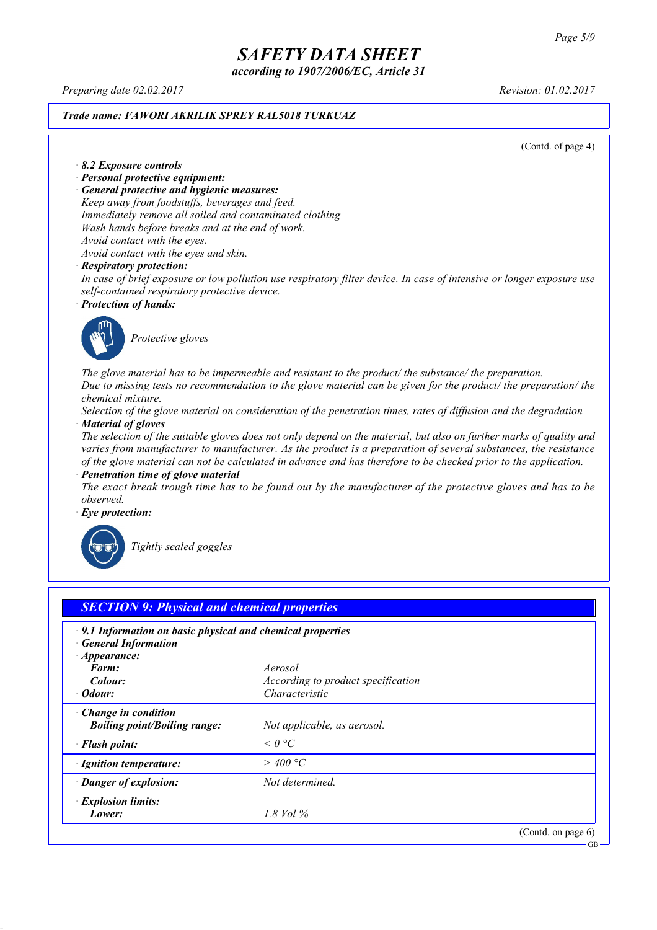*according to 1907/2006/EC, Article 31*

*Preparing date 02.02.2017 Revision: 01.02.2017*

#### *Trade name: FAWORI AKRILIK SPREY RAL5018 TURKUAZ*

(Contd. of page 4)

#### *· 8.2 Exposure controls*

- *· Personal protective equipment:*
- *· General protective and hygienic measures:*

*Keep away from foodstuffs, beverages and feed. Immediately remove all soiled and contaminated clothing Wash hands before breaks and at the end of work. Avoid contact with the eyes.*

*Avoid contact with the eyes and skin.*

#### *· Respiratory protection:*

In case of brief exposure or low pollution use respiratory filter device. In case of intensive or longer exposure use *self-contained respiratory protective device.*

*· Protection of hands:*



*Protective gloves*

*The glove material has to be impermeable and resistant to the product/ the substance/ the preparation.* Due to missing tests no recommendation to the glove material can be given for the product/ the preparation/ the *chemical mixture.*

Selection of the glove material on consideration of the penetration times, rates of diffusion and the degradation *· Material of gloves*

The selection of the suitable gloves does not only depend on the material, but also on further marks of quality and *varies from manufacturer to manufacturer. As the product is a preparation of several substances, the resistance* of the glove material can not be calculated in advance and has therefore to be checked prior to the application.

*· Penetration time of glove material*

The exact break trough time has to be found out by the manufacturer of the protective gloves and has to be *observed.*

*· Eye protection:*



*Tightly sealed goggles*

| $\cdot$ 9.1 Information on basic physical and chemical properties<br><b>General Information</b><br>$\cdot$ Appearance: |                                    |  |
|------------------------------------------------------------------------------------------------------------------------|------------------------------------|--|
| Form:                                                                                                                  | Aerosol                            |  |
| Colour:                                                                                                                | According to product specification |  |
| · Odour:                                                                                                               | Characteristic                     |  |
| Change in condition<br><b>Boiling point/Boiling range:</b>                                                             | Not applicable, as aerosol.        |  |
| · Flash point:                                                                                                         | $\leq$ 0 °C                        |  |
| · Ignition temperature:                                                                                                | $>$ 400 °C                         |  |
| · Danger of explosion:                                                                                                 | Not determined.                    |  |
| · Explosion limits:                                                                                                    |                                    |  |
| Lower:                                                                                                                 | 1.8 Vol %                          |  |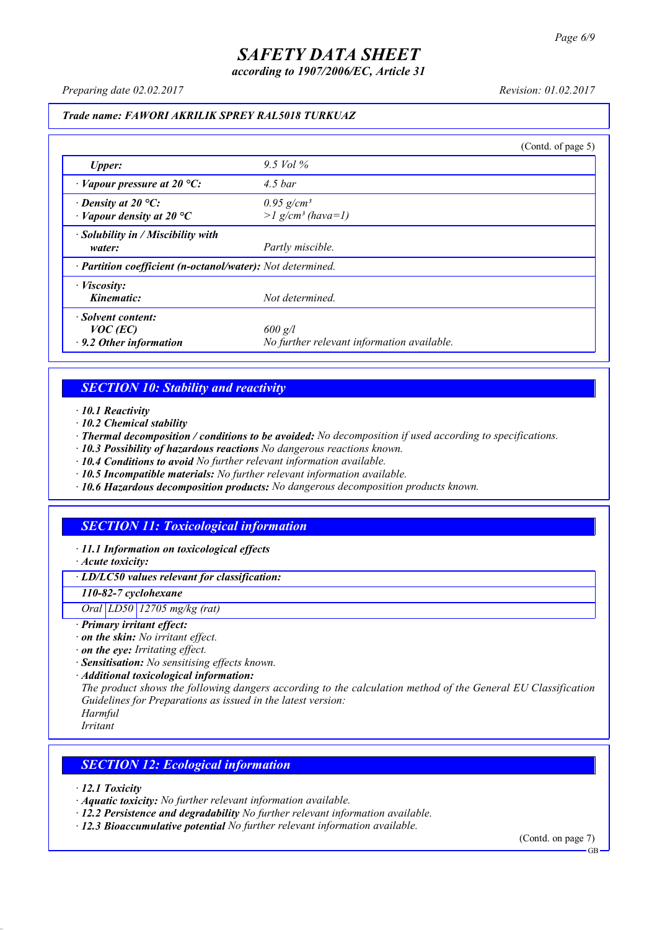*according to 1907/2006/EC, Article 31*

*Preparing date 02.02.2017 Revision: 01.02.2017*

#### *Trade name: FAWORI AKRILIK SPREY RAL5018 TURKUAZ*

|                                                                   |                                                             | (Contd. of page 5) |
|-------------------------------------------------------------------|-------------------------------------------------------------|--------------------|
| Upper:                                                            | 9.5 Vol $\%$                                                |                    |
| $\cdot$ Vapour pressure at 20 °C:                                 | $4.5$ bar                                                   |                    |
| $\cdot$ Density at 20 °C:<br>$\cdot$ Vapour density at 20 °C      | $0.95$ g/cm <sup>3</sup><br>$>l$ g/cm <sup>3</sup> (hava=1) |                    |
| · Solubility in / Miscibility with<br>water:                      | Partly miscible.                                            |                    |
| · Partition coefficient (n-octanol/water): Not determined.        |                                                             |                    |
| $\cdot$ <i>Viscosity:</i><br>Kinematic:                           | Not determined.                                             |                    |
| · Solvent content:<br>$VOC$ (EC)<br>$\cdot$ 9.2 Other information | $600$ g/l<br>No further relevant information available.     |                    |

### *SECTION 10: Stability and reactivity*

*· 10.1 Reactivity*

- *· 10.2 Chemical stability*
- *· Thermal decomposition / conditions to be avoided: No decomposition if used according to specifications.*
- *· 10.3 Possibility of hazardous reactions No dangerous reactions known.*
- *· 10.4 Conditions to avoid No further relevant information available.*
- *· 10.5 Incompatible materials: No further relevant information available.*
- *· 10.6 Hazardous decomposition products: No dangerous decomposition products known.*

## *SECTION 11: Toxicological information*

*· 11.1 Information on toxicological effects*

*· Acute toxicity:*

*· LD/LC50 values relevant for classification:*

*110-82-7 cyclohexane*

*Oral LD50 12705 mg/kg (rat)*

- *· Primary irritant effect:*
- *· on the skin: No irritant effect.*
- *· on the eye: Irritating effect.*
- *· Sensitisation: No sensitising effects known.*
- *· Additional toxicological information:*

*The product shows the following dangers according to the calculation method of the General EU Classification Guidelines for Preparations as issued in the latest version:*

*Harmful Irritant*

### *SECTION 12: Ecological information*

*· 12.1 Toxicity*

- *· Aquatic toxicity: No further relevant information available.*
- *· 12.2 Persistence and degradability No further relevant information available.*
- *· 12.3 Bioaccumulative potential No further relevant information available.*

(Contd. on page 7)

**GB**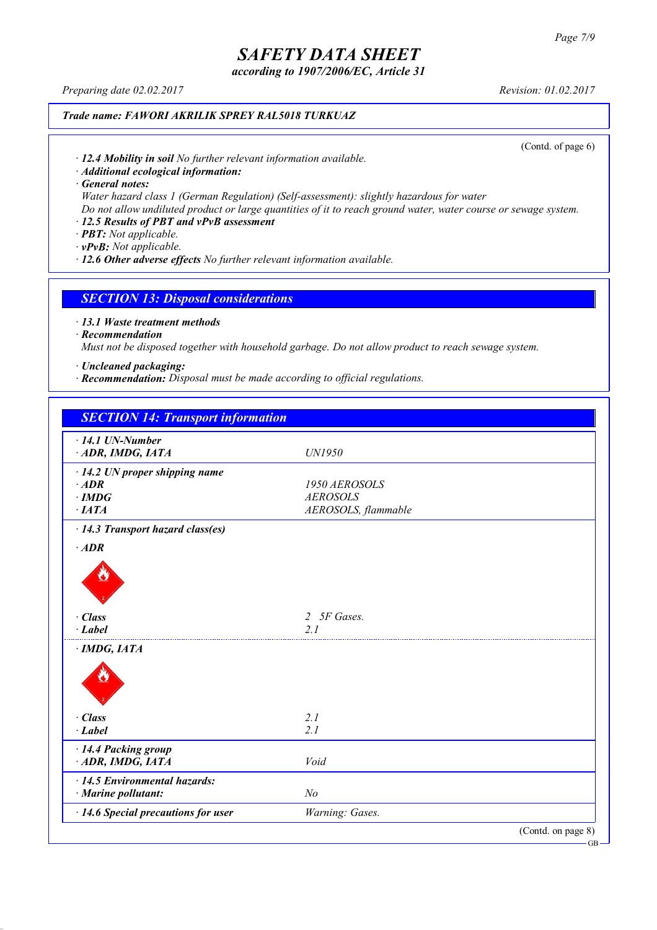*according to 1907/2006/EC, Article 31*

*Preparing date 02.02.2017 Revision: 01.02.2017*

## *Trade name: FAWORI AKRILIK SPREY RAL5018 TURKUAZ*

(Contd. of page 6)

*· 12.4 Mobility in soil No further relevant information available.*

*· Additional ecological information:*

*· General notes:*

*Water hazard class 1 (German Regulation) (Self-assessment): slightly hazardous for water*

Do not allow undiluted product or large quantities of it to reach ground water, water course or sewage system.

## *· 12.5 Results of PBT and vPvB assessment*

*· PBT: Not applicable.*

*· vPvB: Not applicable.*

*· 12.6 Other adverse effects No further relevant information available.*

#### *SECTION 13: Disposal considerations*

*· 13.1 Waste treatment methods*

#### *· Recommendation*

*Must not be disposed together with household garbage. Do not allow product to reach sewage system.*

- *· Uncleaned packaging:*
- *· Recommendation: Disposal must be made according to official regulations.*

| <b>SECTION 14: Transport information</b>             |                     |                    |
|------------------------------------------------------|---------------------|--------------------|
| $\cdot$ 14.1 UN-Number                               |                     |                    |
| ADR, IMDG, IATA                                      | UN1950              |                    |
| $\cdot$ 14.2 UN proper shipping name                 |                     |                    |
| $·$ <i>ADR</i>                                       | 1950 AEROSOLS       |                    |
| $\cdot$ IMDG                                         | <b>AEROSOLS</b>     |                    |
| $\cdot$ IATA                                         | AEROSOLS, flammable |                    |
| · 14.3 Transport hazard class(es)                    |                     |                    |
| $·$ <i>ADR</i>                                       |                     |                    |
|                                                      |                     |                    |
| · Class                                              | 2 5F Gases.         |                    |
| $\cdot$ Label                                        | 2.1                 |                    |
| $\cdot$ IMDG, IATA                                   |                     |                    |
| · Class                                              | 2.1                 |                    |
| $-Label$                                             | 2.1                 |                    |
| · 14.4 Packing group                                 |                     |                    |
| ADR, IMDG, IATA                                      | Void                |                    |
| · 14.5 Environmental hazards:<br>· Marine pollutant: | N <sub>o</sub>      |                    |
| · 14.6 Special precautions for user                  | Warning: Gases.     |                    |
|                                                      |                     | (Contd. on page 8) |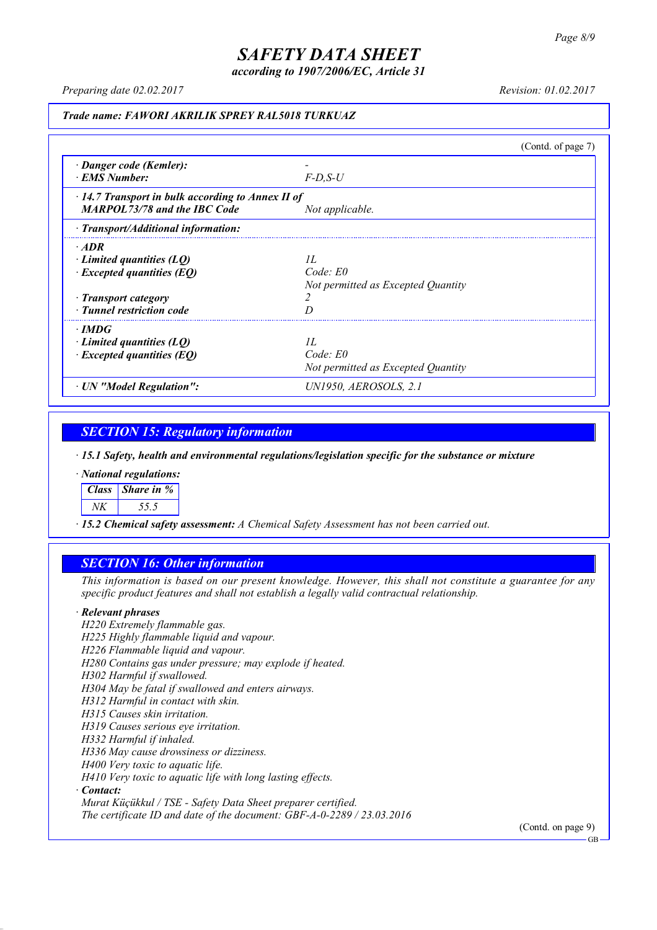*according to 1907/2006/EC, Article 31*

*Preparing date 02.02.2017 Revision: 01.02.2017*

### *Trade name: FAWORI AKRILIK SPREY RAL5018 TURKUAZ*

|                                                                                                                                 |                                                          | (Contd. of page $7$ ) |
|---------------------------------------------------------------------------------------------------------------------------------|----------------------------------------------------------|-----------------------|
| · Danger code (Kemler):<br><b>EMS Number:</b>                                                                                   | $F$ -D.S-U                                               |                       |
| $\cdot$ 14.7 Transport in bulk according to Annex II of<br><b>MARPOL73/78 and the IBC Code</b>                                  | Not applicable.                                          |                       |
| $\cdot$ Transport/Additional information:                                                                                       |                                                          |                       |
| $\cdot$ ADR<br>Limited quantities (LO)<br>$\cdot$ Excepted quantities (EQ)<br>· Transport category<br>· Tunnel restriction code | II.<br>$Code$ $E0$<br>Not permitted as Excepted Quantity |                       |
| $\cdot$ IMDG<br>$\cdot$ Limited quantities (LQ)<br>$\cdot$ Excepted quantities (EQ)                                             | II.<br>$Code$ $E0$<br>Not permitted as Excepted Quantity |                       |
| · UN "Model Regulation":                                                                                                        | UN1950, AEROSOLS, 2.1                                    |                       |

## *SECTION 15: Regulatory information*

*· 15.1 Safety, health and environmental regulations/legislation specific for the substance or mixture*

*· National regulations:*

*Class Share in %*

*NK 55.5*

*· 15.2 Chemical safety assessment: A Chemical Safety Assessment has not been carried out.*

### *SECTION 16: Other information*

This information is based on our present knowledge. However, this shall not constitute a guarantee for any *specific product features and shall not establish a legally valid contractual relationship.*

#### *· Relevant phrases*

*H220 Extremely flammable gas. H225 Highly flammable liquid and vapour. H226 Flammable liquid and vapour. H280 Contains gas under pressure; may explode if heated. H302 Harmful if swallowed. H304 May be fatal if swallowed and enters airways. H312 Harmful in contact with skin. H315 Causes skin irritation. H319 Causes serious eye irritation. H332 Harmful if inhaled. H336 May cause drowsiness or dizziness. H400 Very toxic to aquatic life. H410 Very toxic to aquatic life with long lasting effects. · Contact: Murat Küçükkul / TSE - Safety Data Sheet preparer certified.*

*The certificate ID and date of the document: GBF-A-0-2289 / 23.03.2016*

(Contd. on page 9)

GB